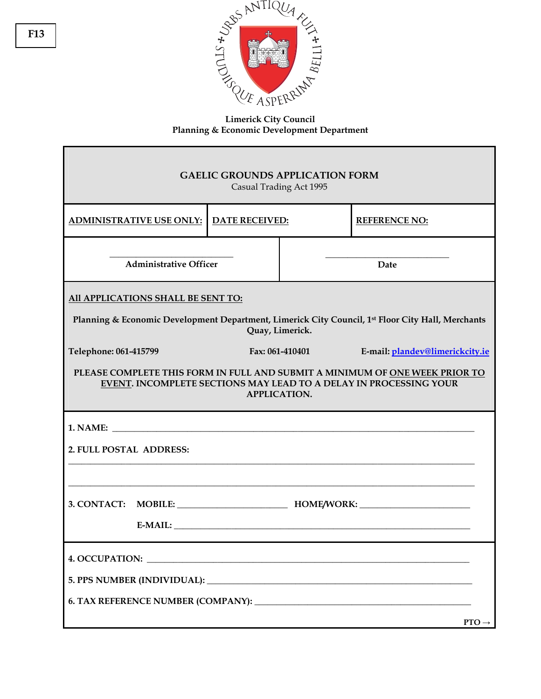

**Limerick City Council Planning & Economic Development Department** 

| <b>GAELIC GROUNDS APPLICATION FORM</b><br>Casual Trading Act 1995                                                                                                                                                                                      |                       |      |                      |  |
|--------------------------------------------------------------------------------------------------------------------------------------------------------------------------------------------------------------------------------------------------------|-----------------------|------|----------------------|--|
| <b>ADMINISTRATIVE USE ONLY:</b>                                                                                                                                                                                                                        | <b>DATE RECEIVED:</b> |      | <b>REFERENCE NO:</b> |  |
| <b>Administrative Officer</b>                                                                                                                                                                                                                          |                       | Date |                      |  |
| All APPLICATIONS SHALL BE SENT TO:<br>Planning & Economic Development Department, Limerick City Council, 1 <sup>st</sup> Floor City Hall, Merchants<br>Quay, Limerick.                                                                                 |                       |      |                      |  |
| Telephone: 061-415799<br>Fax: 061-410401<br>E-mail: plandev@limerickcity.ie<br>PLEASE COMPLETE THIS FORM IN FULL AND SUBMIT A MINIMUM OF ONE WEEK PRIOR TO<br>EVENT. INCOMPLETE SECTIONS MAY LEAD TO A DELAY IN PROCESSING YOUR<br><b>APPLICATION.</b> |                       |      |                      |  |
| 2. FULL POSTAL ADDRESS:<br>3. CONTACT: MOBILE: HOME/WORK: HOME/WORK:                                                                                                                                                                                   |                       |      |                      |  |
|                                                                                                                                                                                                                                                        |                       |      | $PTO \rightarrow$    |  |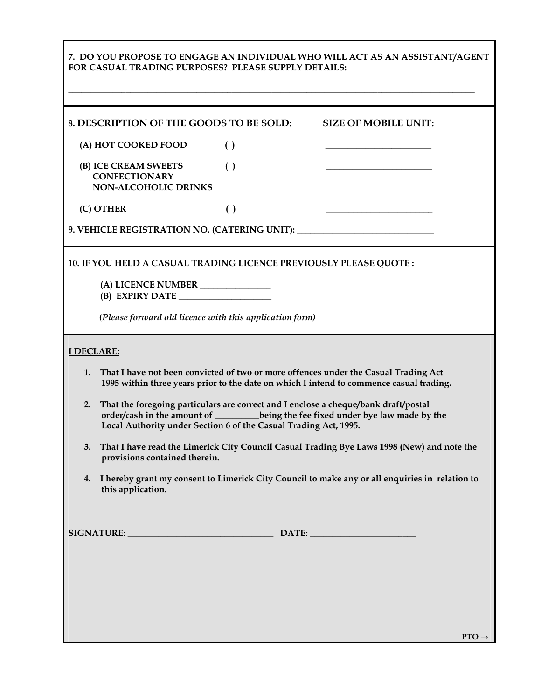|                                                                                                                                                                                                                                                     | FOR CASUAL TRADING PURPOSES? PLEASE SUPPLY DETAILS:                | 7. DO YOU PROPOSE TO ENGAGE AN INDIVIDUAL WHO WILL ACT AS AN ASSISTANT/AGENT     |  |  |
|-----------------------------------------------------------------------------------------------------------------------------------------------------------------------------------------------------------------------------------------------------|--------------------------------------------------------------------|----------------------------------------------------------------------------------|--|--|
|                                                                                                                                                                                                                                                     | 8. DESCRIPTION OF THE GOODS TO BE SOLD:                            | <b>SIZE OF MOBILE UNIT:</b>                                                      |  |  |
| (A) HOT COOKED FOOD                                                                                                                                                                                                                                 | $\left( \ \right)$                                                 |                                                                                  |  |  |
| (B) ICE CREAM SWEETS<br><b>CONFECTIONARY</b><br><b>NON-ALCOHOLIC DRINKS</b>                                                                                                                                                                         | $\left( \ \right)$                                                 |                                                                                  |  |  |
| (C) OTHER                                                                                                                                                                                                                                           | $\left( \ \right)$                                                 |                                                                                  |  |  |
|                                                                                                                                                                                                                                                     |                                                                    | 9. VEHICLE REGISTRATION NO. (CATERING UNIT): ___________________________________ |  |  |
|                                                                                                                                                                                                                                                     | 10. IF YOU HELD A CASUAL TRADING LICENCE PREVIOUSLY PLEASE QUOTE : |                                                                                  |  |  |
|                                                                                                                                                                                                                                                     | (A) LICENCE NUMBER ______________<br>(B) EXPIRY DATE               |                                                                                  |  |  |
|                                                                                                                                                                                                                                                     | (Please forward old licence with this application form)            |                                                                                  |  |  |
| <b>I DECLARE:</b>                                                                                                                                                                                                                                   |                                                                    |                                                                                  |  |  |
| That I have not been convicted of two or more offences under the Casual Trading Act<br>1.<br>1995 within three years prior to the date on which I intend to commence casual trading.                                                                |                                                                    |                                                                                  |  |  |
| That the foregoing particulars are correct and I enclose a cheque/bank draft/postal<br>2.<br>order/cash in the amount of _________being the fee fixed under bye law made by the<br>Local Authority under Section 6 of the Casual Trading Act, 1995. |                                                                    |                                                                                  |  |  |
| That I have read the Limerick City Council Casual Trading Bye Laws 1998 (New) and note the<br>3.<br>provisions contained therein.                                                                                                                   |                                                                    |                                                                                  |  |  |
| 4. I hereby grant my consent to Limerick City Council to make any or all enquiries in relation to<br>this application.                                                                                                                              |                                                                    |                                                                                  |  |  |
|                                                                                                                                                                                                                                                     | SIGNATURE: DATE: DATE:                                             |                                                                                  |  |  |
|                                                                                                                                                                                                                                                     |                                                                    |                                                                                  |  |  |

 $\mathbf l$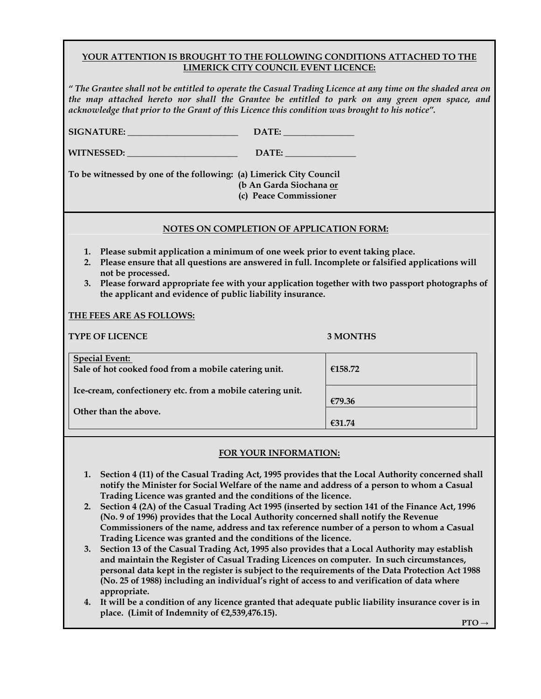## **YOUR ATTENTION IS BROUGHT TO THE FOLLOWING CONDITIONS ATTACHED TO THE LIMERICK CITY COUNCIL EVENT LICENCE:**

*" The Grantee shall not be entitled to operate the Casual Trading Licence at any time on the shaded area on the map attached hereto nor shall the Grantee be entitled to park on any green open space, and acknowledge that prior to the Grant of this Licence this condition was brought to his notice".* 

| SIGNATURE: DATE: DATE:                                                                                                                                                                                                                                                                                                                                                           |                 |  |  |
|----------------------------------------------------------------------------------------------------------------------------------------------------------------------------------------------------------------------------------------------------------------------------------------------------------------------------------------------------------------------------------|-----------------|--|--|
| WITNESSED: NEWSLETTEN                                                                                                                                                                                                                                                                                                                                                            |                 |  |  |
| To be witnessed by one of the following: (a) Limerick City Council<br>(b An Garda Siochana or<br>(c) Peace Commissioner                                                                                                                                                                                                                                                          |                 |  |  |
| NOTES ON COMPLETION OF APPLICATION FORM:                                                                                                                                                                                                                                                                                                                                         |                 |  |  |
| 1. Please submit application a minimum of one week prior to event taking place.<br>Please ensure that all questions are answered in full. Incomplete or falsified applications will<br>2.<br>not be processed.<br>3. Please forward appropriate fee with your application together with two passport photographs of<br>the applicant and evidence of public liability insurance. |                 |  |  |
| THE FEES ARE AS FOLLOWS:                                                                                                                                                                                                                                                                                                                                                         |                 |  |  |
| <b>TYPE OF LICENCE</b>                                                                                                                                                                                                                                                                                                                                                           | <b>3 MONTHS</b> |  |  |
| <b>Special Event:</b><br>Sale of hot cooked food from a mobile catering unit.                                                                                                                                                                                                                                                                                                    | €158.72         |  |  |
| Ice-cream, confectionery etc. from a mobile catering unit.                                                                                                                                                                                                                                                                                                                       |                 |  |  |
| Other than the above.                                                                                                                                                                                                                                                                                                                                                            | €79.36          |  |  |
|                                                                                                                                                                                                                                                                                                                                                                                  | €31.74          |  |  |

## **FOR YOUR INFORMATION:**

- **1. Section 4 (11) of the Casual Trading Act, 1995 provides that the Local Authority concerned shall notify the Minister for Social Welfare of the name and address of a person to whom a Casual Trading Licence was granted and the conditions of the licence.**
- **2. Section 4 (2A) of the Casual Trading Act 1995 (inserted by section 141 of the Finance Act, 1996 (No. 9 of 1996) provides that the Local Authority concerned shall notify the Revenue Commissioners of the name, address and tax reference number of a person to whom a Casual Trading Licence was granted and the conditions of the licence.**
- **3. Section 13 of the Casual Trading Act, 1995 also provides that a Local Authority may establish and maintain the Register of Casual Trading Licences on computer. In such circumstances, personal data kept in the register is subject to the requirements of the Data Protection Act 1988 (No. 25 of 1988) including an individual's right of access to and verification of data where appropriate.**
- **4. It will be a condition of any licence granted that adequate public liability insurance cover is in place. (Limit of Indemnity of €2,539,476.15).**

 $\mathbf{PTO}\rightarrow\mathbf{PTO}$